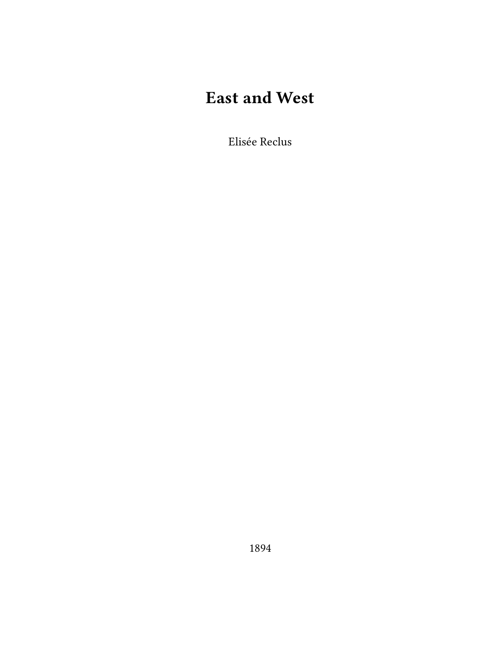## **East and West**

Elisée Reclus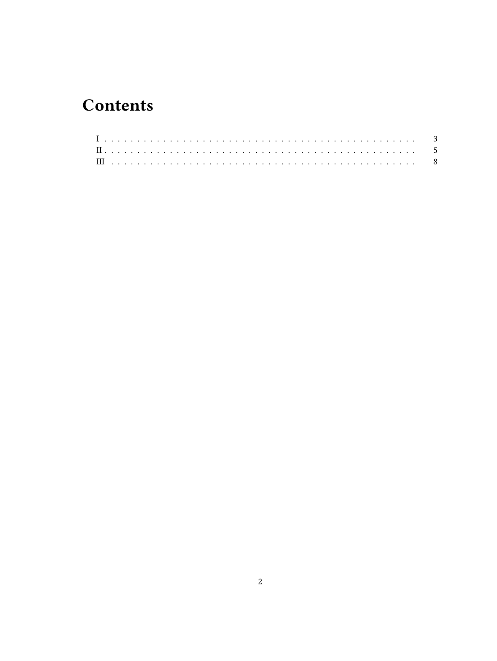## **Contents**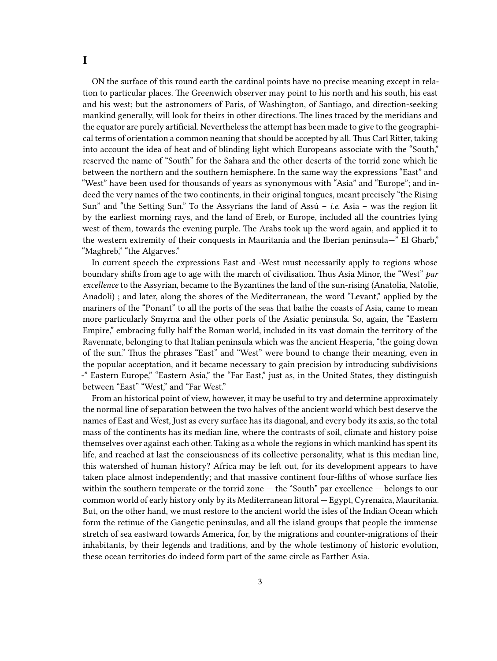<span id="page-2-0"></span>ON the surface of this round earth the cardinal points have no precise meaning except in relation to particular places. The Greenwich observer may point to his north and his south, his east and his west; but the astronomers of Paris, of Washington, of Santiago, and direction-seeking mankind generally, will look for theirs in other directions. The lines traced by the meridians and the equator are purely artificial. Nevertheless the attempt has been made to give to the geographical terms of orientation a common neaning that should be accepted by all. Thus Carl Ritter, taking into account the idea of heat and of blinding light which Europeans associate with the "South," reserved the name of "South" for the Sahara and the other deserts of the torrid zone which lie between the northern and the southern hemisphere. In the same way the expressions "East" and "West" have been used for thousands of years as synonymous with "Asia" and "Europe"; and indeed the very names of the two continents, in their original tongues, meant precisely "the Rising Sun" and "the Setting Sun." To the Assyrians the land of Assú – *i.e.* Asia – was the region lit by the earliest morning rays, and the land of Ereb, or Europe, included all the countries lying west of them, towards the evening purple. The Arabs took up the word again, and applied it to the western extremity of their conquests in Mauritania and the Iberian peninsula—" El Gharb," "Maghreb," "the Algarves."

In current speech the expressions East and -West must necessarily apply to regions whose boundary shifts from age to age with the march of civilisation. Thus Asia Minor, the "West" *par excellence* to the Assyrian, became to the Byzantines the land of the sun-rising (Anatolia, Natolie, Anadoli) ; and later, along the shores of the Mediterranean, the word "Levant," applied by the mariners of the "Ponant" to all the ports of the seas that bathe the coasts of Asia, came to mean more particularly Smyrna and the other ports of the Asiatic peninsula. So, again, the "Eastern Empire," embracing fully half the Roman world, included in its vast domain the territory of the Ravennate, belonging to that Italian peninsula which was the ancient Hesperia, "the going down of the sun." Thus the phrases "East" and "West" were bound to change their meaning, even in the popular acceptation, and it became necessary to gain precision by introducing subdivisions -" Eastern Europe," "Eastern Asia," the "Far East," just as, in the United States, they distinguish between "East" "West," and "Far West."

From an historical point of view, however, it may be useful to try and determine approximately the normal line of separation between the two halves of the ancient world which best deserve the names of East and West, Just as every surface has its diagonal, and every body its axis, so the total mass of the continents has its median line, where the contrasts of soil, climate and history poise themselves over against each other. Taking as a whole the regions in which mankind has spent its life, and reached at last the consciousness of its collective personality, what is this median line, this watershed of human history? Africa may be left out, for its development appears to have taken place almost independently; and that massive continent four-fifths of whose surface lies within the southern temperate or the torrid zone — the "South" par excellence — belongs to our common world of early history only by its Mediterranean littoral — Egypt, Cyrenaica, Mauritania. But, on the other hand, we must restore to the ancient world the isles of the Indian Ocean which form the retinue of the Gangetic peninsulas, and all the island groups that people the immense stretch of sea eastward towards America, for, by the migrations and counter-migrations of their inhabitants, by their legends and traditions, and by the whole testimony of historic evolution, these ocean territories do indeed form part of the same circle as Farther Asia.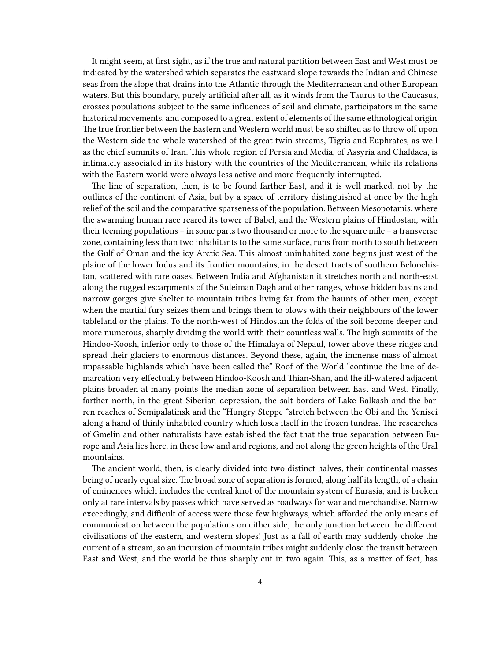It might seem, at first sight, as if the true and natural partition between East and West must be indicated by the watershed which separates the eastward slope towards the Indian and Chinese seas from the slope that drains into the Atlantic through the Mediterranean and other European waters. But this boundary, purely artificial after all, as it winds from the Taurus to the Caucasus, crosses populations subject to the same influences of soil and climate, participators in the same historical movements, and composed to a great extent of elements of the same ethnological origin. The true frontier between the Eastern and Western world must be so shifted as to throw off upon the Western side the whole watershed of the great twin streams, Tigris and Euphrates, as well as the chief summits of Iran. This whole region of Persia and Media, of Assyria and Chaldaea, is intimately associated in its history with the countries of the Mediterranean, while its relations with the Eastern world were always less active and more frequently interrupted.

The line of separation, then, is to be found farther East, and it is well marked, not by the outlines of the continent of Asia, but by a space of territory distinguished at once by the high relief of the soil and the comparative sparseness of the population. Between Mesopotamis, where the swarming human race reared its tower of Babel, and the Western plains of Hindostan, with their teeming populations – in some parts two thousand or more to the square mile – a transverse zone, containing less than two inhabitants to the same surface, runs from north to south between the Gulf of Oman and the icy Arctic Sea. This almost uninhabited zone begins just west of the plaine of the lower Indus and its frontier mountains, in the desert tracts of southern Beloochistan, scattered with rare oases. Between India and Afghanistan it stretches north and north-east along the rugged escarpments of the Suleiman Dagh and other ranges, whose hidden basins and narrow gorges give shelter to mountain tribes living far from the haunts of other men, except when the martial fury seizes them and brings them to blows with their neighbours of the lower tableland or the plains. To the north-west of Hindostan the folds of the soil become deeper and more numerous, sharply dividing the world with their countless walls. The high summits of the Hindoo-Koosh, inferior only to those of the Himalaya of Nepaul, tower above these ridges and spread their glaciers to enormous distances. Beyond these, again, the immense mass of almost impassable highlands which have been called the" Roof of the World "continue the line of demarcation very effectually between Hindoo-Koosh and Thian-Shan, and the ill-watered adjacent plains broaden at many points the median zone of separation between East and West. Finally, farther north, in the great Siberian depression, the salt borders of Lake Balkash and the barren reaches of Semipalatinsk and the "Hungry Steppe "stretch between the Obi and the Yenisei along a hand of thinly inhabited country which loses itself in the frozen tundras. The researches of Gmelin and other naturalists have established the fact that the true separation between Europe and Asia lies here, in these low and arid regions, and not along the green heights of the Ural mountains.

The ancient world, then, is clearly divided into two distinct halves, their continental masses being of nearly equal size. The broad zone of separation is formed, along half its length, of a chain of eminences which includes the central knot of the mountain system of Eurasia, and is broken only at rare intervals by passes which have served as roadways for war and merchandise. Narrow exceedingly, and difficult of access were these few highways, which afforded the only means of communication between the populations on either side, the only junction between the different civilisations of the eastern, and western slopes! Just as a fall of earth may suddenly choke the current of a stream, so an incursion of mountain tribes might suddenly close the transit between East and West, and the world be thus sharply cut in two again. This, as a matter of fact, has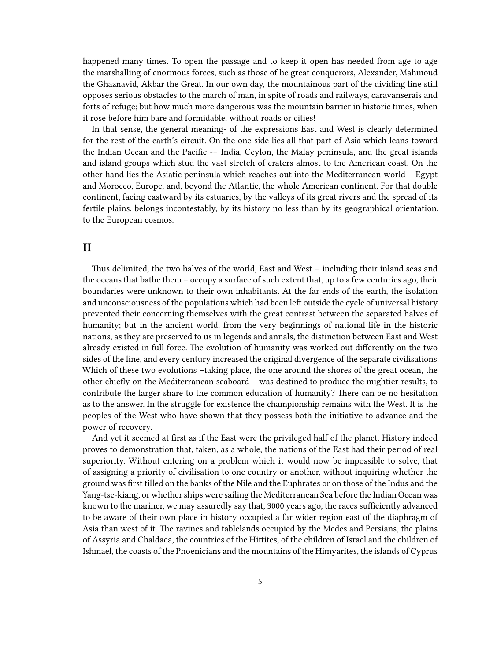happened many times. To open the passage and to keep it open has needed from age to age the marshalling of enormous forces, such as those of he great conquerors, Alexander, Mahmoud the Ghaznavid, Akbar the Great. In our own day, the mountainous part of the dividing line still opposes serious obstacles to the march of man, in spite of roads and railways, caravanserais and forts of refuge; but how much more dangerous was the mountain barrier in historic times, when it rose before him bare and formidable, without roads or cities!

In that sense, the general meaning- of the expressions East and West is clearly determined for the rest of the earth's circuit. On the one side lies all that part of Asia which leans toward the Indian Ocean and the Pacific -– India, Ceylon, the Malay peninsula, and the great islands and island groups which stud the vast stretch of craters almost to the American coast. On the other hand lies the Asiatic peninsula which reaches out into the Mediterranean world – Egypt and Morocco, Europe, and, beyond the Atlantic, the whole American continent. For that double continent, facing eastward by its estuaries, by the valleys of its great rivers and the spread of its fertile plains, belongs incontestably, by its history no less than by its geographical orientation, to the European cosmos.

## <span id="page-4-0"></span>**II**

Thus delimited, the two halves of the world, East and West – including their inland seas and the oceans that bathe them – occupy a surface of such extent that, up to a few centuries ago, their boundaries were unknown to their own inhabitants. At the far ends of the earth, the isolation and unconsciousness of the populations which had been left outside the cycle of universal history prevented their concerning themselves with the great contrast between the separated halves of humanity; but in the ancient world, from the very beginnings of national life in the historic nations, as they are preserved to us in legends and annals, the distinction between East and West already existed in full force. The evolution of humanity was worked out differently on the two sides of the line, and every century increased the original divergence of the separate civilisations. Which of these two evolutions –taking place, the one around the shores of the great ocean, the other chiefly on the Mediterranean seaboard – was destined to produce the mightier results, to contribute the larger share to the common education of humanity? There can be no hesitation as to the answer. In the struggle for existence the championship remains with the West. It is the peoples of the West who have shown that they possess both the initiative to advance and the power of recovery.

And yet it seemed at first as if the East were the privileged half of the planet. History indeed proves to demonstration that, taken, as a whole, the nations of the East had their period of real superiority. Without entering on a problem which it would now be impossible to solve, that of assigning a priority of civilisation to one country or another, without inquiring whether the ground was first tilled on the banks of the Nile and the Euphrates or on those of the Indus and the Yang-tse-kiang, or whether ships were sailing the Mediterranean Sea before the Indian Ocean was known to the mariner, we may assuredly say that, 3000 years ago, the races sufficiently advanced to be aware of their own place in history occupied a far wider region east of the diaphragm of Asia than west of it. The ravines and tablelands occupied by the Medes and Persians, the plains of Assyria and Chaldaea, the countries of the Hittites, of the children of Israel and the children of Ishmael, the coasts of the Phoenicians and the mountains of the Himyarites, the islands of Cyprus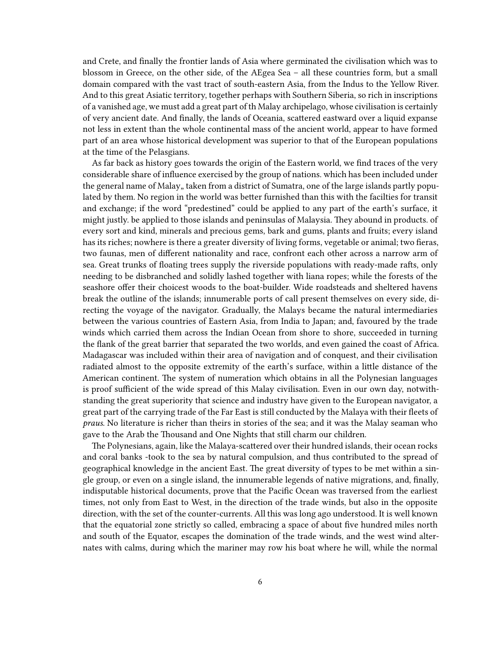and Crete, and finally the frontier lands of Asia where germinated the civilisation which was to blossom in Greece, on the other side, of the AEgea Sea – all these countries form, but a small domain compared with the vast tract of south-eastern Asia, from the Indus to the Yellow River. And to this great Asiatic territory, together perhaps with Southern Siberia, so rich in inscriptions of a vanished age, we must add a great part of th Malay archipelago, whose civilisation is certainly of very ancient date. And finally, the lands of Oceania, scattered eastward over a liquid expanse not less in extent than the whole continental mass of the ancient world, appear to have formed part of an area whose historical development was superior to that of the European populations at the time of the Pelasgians.

As far back as history goes towards the origin of the Eastern world, we find traces of the very considerable share of influence exercised by the group of nations. which has been included under the general name of Malay, taken from a district of Sumatra, one of the large islands partly populated by them. No region in the world was better furnished than this with the facilties for transit and exchange; if the word "predestined" could be applied to any part of the earth's surface, it might justly. be applied to those islands and peninsulas of Malaysia. They abound in products. of every sort and kind, minerals and precious gems, bark and gums, plants and fruits; every island has its riches; nowhere is there a greater diversity of living forms, vegetable or animal; two fieras, two faunas, men of different nationality and race, confront each other across a narrow arm of sea. Great trunks of floating trees supply the riverside populations with ready-made rafts, only needing to be disbranched and solidly lashed together with liana ropes; while the forests of the seashore offer their choicest woods to the boat-builder. Wide roadsteads and sheltered havens break the outline of the islands; innumerable ports of call present themselves on every side, directing the voyage of the navigator. Gradually, the Malays became the natural intermediaries between the various countries of Eastern Asia, from India to Japan; and, favoured by the trade winds which carried them across the Indian Ocean from shore to shore, succeeded in turning the flank of the great barrier that separated the two worlds, and even gained the coast of Africa. Madagascar was included within their area of navigation and of conquest, and their civilisation radiated almost to the opposite extremity of the earth's surface, within a little distance of the American continent. The system of numeration which obtains in all the Polynesian languages is proof sufficient of the wide spread of this Malay civilisation. Even in our own day, notwithstanding the great superiority that science and industry have given to the European navigator, a great part of the carrying trade of the Far East is still conducted by the Malaya with their fleets of *praus*. No literature is richer than theirs in stories of the sea; and it was the Malay seaman who gave to the Arab the Thousand and One Nights that still charm our children.

The Polynesians, again, like the Malaya-scattered over their hundred islands, their ocean rocks and coral banks -took to the sea by natural compulsion, and thus contributed to the spread of geographical knowledge in the ancient East. The great diversity of types to be met within a single group, or even on a single island, the innumerable legends of native migrations, and, finally, indisputable historical documents, prove that the Pacific Ocean was traversed from the earliest times, not only from East to West, in the direction of the trade winds, but also in the opposite direction, with the set of the counter-currents. All this was long ago understood. It is well known that the equatorial zone strictly so called, embracing a space of about five hundred miles north and south of the Equator, escapes the domination of the trade winds, and the west wind alternates with calms, during which the mariner may row his boat where he will, while the normal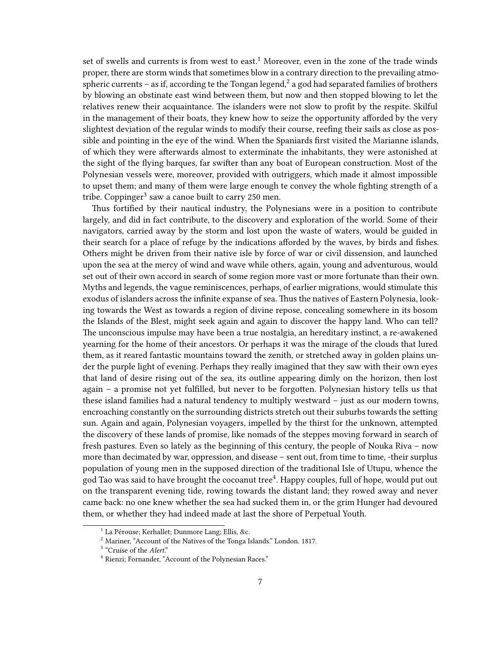set of swells and currents is from west to east.<sup>1</sup> Moreover, even in the zone of the trade winds proper, there are storm winds that sometimes blow in a contrary direction to the prevailing atmospheric currents – as if, according te the Tongan legend, $^2$  a god had separated families of brothers by blowing an obstinate east wind between them, but now and then stopped blowing to let the relatives renew their acquaintance. The islanders were not slow to profit by the respite. Skilful in the management of their boats, they knew how to seize the opportunity afforded by the very slightest deviation of the regular winds to modify their course, reefing their sails as close as possible and pointing in the eye of the wind. When the Spaniards first visited the Marianne islands, of which they were afterwards almost to exterminate the inhabitants, they were astonished at the sight of the flying barques, far swifter than any boat of European construction. Most of the Polynesian vessels were, moreover, provided with outriggers, which made it almost impossible to upset them; and many of them were large enough te convey the whole fighting strength of a tribe. Coppinger<sup>3</sup> saw a canoe built to carry 250 men.

Thus fortified by their nautical industry, the Polynesians were in a position to contribute largely, and did in fact contribute, to the discovery and exploration of the world. Some of their navigators, carried away by the storm and lost upon the waste of waters, would be guided in their search for a place of refuge by the indications afforded by the waves, by birds and fishes. Others might be driven from their native isle by force of war or civil dissension, and launched upon the sea at the mercy of wind and wave while others, again, young and adventurous, would set out of their own accord in search of some region more vast or more fortunate than their own. Myths and legends, the vague reminiscences, perhaps, of earlier migrations, would stimulate this exodus of islanders across the infinite expanse of sea. Thus the natives of Eastern Polynesia, looking towards the West as towards a region of divine repose, concealing somewhere in its bosom the Islands of the Blest, might seek again and again to discover the happy land. Who can tell? The unconscious impulse may have been a true nostalgia, an hereditary instinct, a re-awakened yearning for the home of their ancestors. Or perhaps it was the mirage of the clouds that lured them, as it reared fantastic mountains toward the zenith, or stretched away in golden plains under the purple light of evening. Perhaps they really imagined that they saw with their own eyes that land of desire rising out of the sea, its outline appearing dimly on the horizon, then lost again – a promise not yet fulfilled, but never to be forgotten. Polynesian history tells us that these island families had a natural tendency to multiply westward – just as our modern towns, encroaching constantly on the surrounding districts stretch out their suburbs towards the setting sun. Again and again, Polynesian voyagers, impelled by the thirst for the unknown, attempted the discovery of these lands of promise, like nomads of the steppes moving forward in search of fresh pastures. Even so lately as the beginning of this century, the people of Nouka Riva – now more than decimated by war, oppression, and disease – sent out, from time to time, -their surplus population of young men in the supposed direction of the traditional Isle of Utupu, whence the god Tao was said to have brought the cocoanut tree<sup>4</sup>. Happy couples, full of hope, would put out on the transparent evening tide, rowing towards the distant land; they rowed away and never came back: no one knew whether the sea had sucked them in, or the grim Hunger had devoured them, or whether they had indeed made at last the shore of Perpetual Youth.

<sup>&</sup>lt;sup>1</sup> La Pérouse; Kerhallet; Dunmore Lang; Ellis, &c.

<sup>2</sup> Mariner, "Account of the Natives of the Tonga Islands." London. 1817.

<sup>&</sup>lt;sup>3</sup> "Cruise of the *Alert.*"

<sup>4</sup> Rienzi; Fornander, "Account of the Polynesian Races."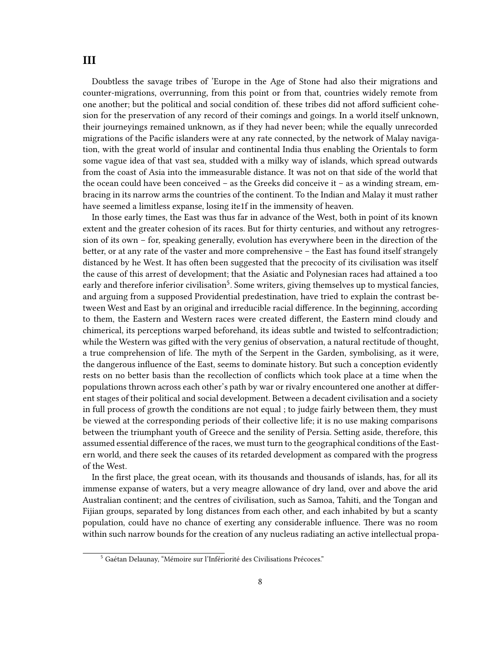<span id="page-7-0"></span>Doubtless the savage tribes of 'Europe in the Age of Stone had also their migrations and counter-migrations, overrunning, from this point or from that, countries widely remote from one another; but the political and social condition of. these tribes did not afford sufficient cohesion for the preservation of any record of their comings and goings. In a world itself unknown, their journeyings remained unknown, as if they had never been; while the equally unrecorded migrations of the Pacific islanders were at any rate connected, by the network of Malay navigation, with the great world of insular and continental India thus enabling the Orientals to form some vague idea of that vast sea, studded with a milky way of islands, which spread outwards from the coast of Asia into the immeasurable distance. It was not on that side of the world that the ocean could have been conceived – as the Greeks did conceive it – as a winding stream, embracing in its narrow arms the countries of the continent. To the Indian and Malay it must rather have seemed a limitless expanse, losing ite1f in the immensity of heaven.

In those early times, the East was thus far in advance of the West, both in point of its known extent and the greater cohesion of its races. But for thirty centuries, and without any retrogression of its own – for, speaking generally, evolution has everywhere been in the direction of the better, or at any rate of the vaster and more comprehensive – the East has found itself strangely distanced by he West. It has often been suggested that the precocity of its civilisation was itself the cause of this arrest of development; that the Asiatic and Polynesian races had attained a too early and therefore inferior civilisation<sup>5</sup>. Some writers, giving themselves up to mystical fancies, and arguing from a supposed Providential predestination, have tried to explain the contrast between West and East by an original and irreducible racial difference. In the beginning, according to them, the Eastern and Western races were created different, the Eastern mind cloudy and chimerical, its perceptions warped beforehand, its ideas subtle and twisted to selfcontradiction; while the Western was gifted with the very genius of observation, a natural rectitude of thought, a true comprehension of life. The myth of the Serpent in the Garden, symbolising, as it were, the dangerous influence of the East, seems to dominate history. But such a conception evidently rests on no better basis than the recollection of conflicts which took place at a time when the populations thrown across each other's path by war or rivalry encountered one another at different stages of their political and social development. Between a decadent civilisation and a society in full process of growth the conditions are not equal ; to judge fairly between them, they must be viewed at the corresponding periods of their collective life; it is no use making comparisons between the triumphant youth of Greece and the senility of Persia. Setting aside, therefore, this assumed essential difference of the races, we must turn to the geographical conditions of the Eastern world, and there seek the causes of its retarded development as compared with the progress of the West.

In the first place, the great ocean, with its thousands and thousands of islands, has, for all its immense expanse of waters, but a very meagre allowance of dry land, over and above the arid Australian continent; and the centres of civilisation, such as Samoa, Tahiti, and the Tongan and Fijian groups, separated by long distances from each other, and each inhabited by but a scanty population, could have no chance of exerting any considerable influence. There was no room within such narrow bounds for the creation of any nucleus radiating an active intellectual propa-

<sup>5</sup> Gaétan Delaunay, "Mémoire sur l'Infériorité des Civilisations Précoces."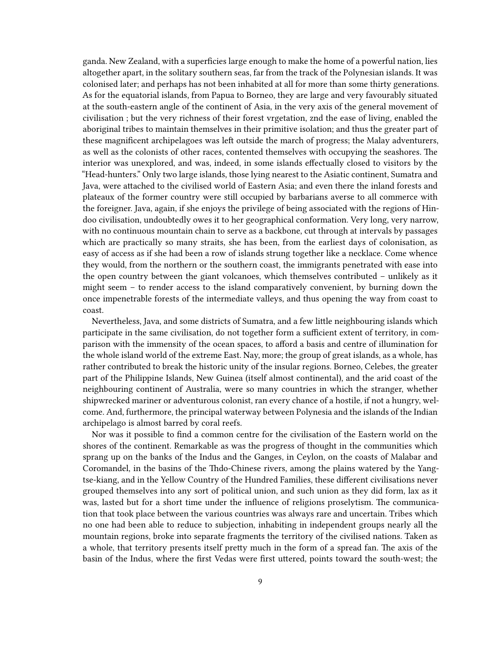ganda. New Zealand, with a superficies large enough to make the home of a powerful nation, lies altogether apart, in the solitary southern seas, far from the track of the Polynesian islands. It was colonised later; and perhaps has not been inhabited at all for more than some thirty generations. As for the equatorial islands, from Papua to Borneo, they are large and very favourably situated at the south-eastern angle of the continent of Asia, in the very axis of the general movement of civilisation ; but the very richness of their forest vrgetation, znd the ease of living, enabled the aboriginal tribes to maintain themselves in their primitive isolation; and thus the greater part of these magnificent archipelagoes was left outside the march of progress; the Malay adventurers, as well as the colonists of other races, contented themselves with occupying the seashores. The interior was unexplored, and was, indeed, in some islands effectually closed to visitors by the "Head-hunters." Only two large islands, those lying nearest to the Asiatic continent, Sumatra and Java, were attached to the civilised world of Eastern Asia; and even there the inland forests and plateaux of the former country were still occupied by barbarians averse to all commerce with the foreigner. Java, again, if she enjoys the privilege of being associated with the regions of Hindoo civilisation, undoubtedly owes it to her geographical conformation. Very long, very narrow, with no continuous mountain chain to serve as a backbone, cut through at intervals by passages which are practically so many straits, she has been, from the earliest days of colonisation, as easy of access as if she had been a row of islands strung together like a necklace. Come whence they would, from the northern or the southern coast, the immigrants penetrated with ease into the open country between the giant volcanoes, which themselves contributed – unlikely as it might seem – to render access to the island comparatively convenient, by burning down the once impenetrable forests of the intermediate valleys, and thus opening the way from coast to coast.

Nevertheless, Java, and some districts of Sumatra, and a few little neighbouring islands which participate in the same civilisation, do not together form a sufficient extent of territory, in comparison with the immensity of the ocean spaces, to afford a basis and centre of illumination for the whole island world of the extreme East. Nay, more; the group of great islands, as a whole, has rather contributed to break the historic unity of the insular regions. Borneo, Celebes, the greater part of the Philippine Islands, New Guinea (itself almost continental), and the arid coast of the neighbouring continent of Australia, were so many countries in which the stranger, whether shipwrecked mariner or adventurous colonist, ran every chance of a hostile, if not a hungry, welcome. And, furthermore, the principal waterway between Polynesia and the islands of the Indian archipelago is almost barred by coral reefs.

Nor was it possible to find a common centre for the civilisation of the Eastern world on the shores of the continent. Remarkable as was the progress of thought in the communities which sprang up on the banks of the Indus and the Ganges, in Ceylon, on the coasts of Malabar and Coromandel, in the basins of the Thdo-Chinese rivers, among the plains watered by the Yangtse-kiang, and in the Yellow Country of the Hundred Families, these different civilisations never grouped themselves into any sort of political union, and such union as they did form, lax as it was, lasted but for a short time under the influence of religions proselytism. The communication that took place between the various countries was always rare and uncertain. Tribes which no one had been able to reduce to subjection, inhabiting in independent groups nearly all the mountain regions, broke into separate fragments the territory of the civilised nations. Taken as a whole, that territory presents itself pretty much in the form of a spread fan. The axis of the basin of the Indus, where the first Vedas were first uttered, points toward the south-west; the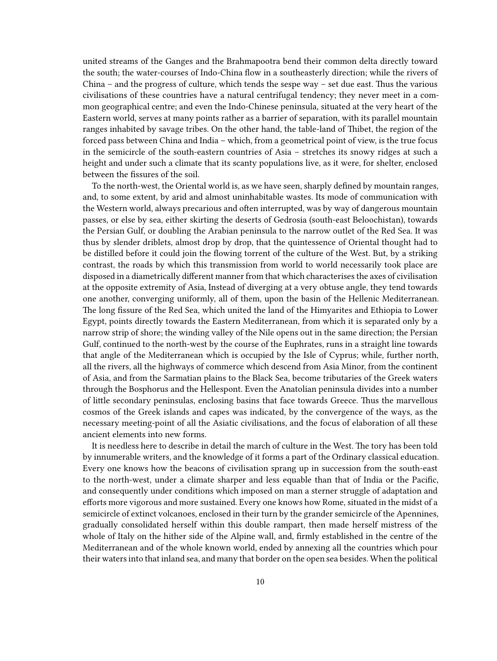united streams of the Ganges and the Brahmapootra bend their common delta directly toward the south; the water-courses of Indo-China flow in a southeasterly direction; while the rivers of China – and the progress of culture, which tends the sespe way – set due east. Thus the various civilisations of these countries have a natural centrifugal tendency; they never meet in a common geographical centre; and even the Indo-Chinese peninsula, situated at the very heart of the Eastern world, serves at many points rather as a barrier of separation, with its parallel mountain ranges inhabited by savage tribes. On the other hand, the table-land of Thibet, the region of the forced pass between China and India – which, from a geometrical point of view, is the true focus in the semicircle of the south-eastern countries of Asia – stretches its snowy ridges at such a height and under such a climate that its scanty populations live, as it were, for shelter, enclosed between the fissures of the soil.

To the north-west, the Oriental world is, as we have seen, sharply defined by mountain ranges, and, to some extent, by arid and almost uninhabitable wastes. Its mode of communication with the Western world, always precarious and often interrupted, was by way of dangerous mountain passes, or else by sea, either skirting the deserts of Gedrosia (south-east Beloochistan), towards the Persian Gulf, or doubling the Arabian peninsula to the narrow outlet of the Red Sea. It was thus by slender driblets, almost drop by drop, that the quintessence of Oriental thought had to be distilled before it could join the flowing torrent of the culture of the West. But, by a striking contrast, the roads by which this transmission from world to world necessarily took place are disposed in a diametrically different manner from that which characterises the axes of civilisation at the opposite extremity of Asia, Instead of diverging at a very obtuse angle, they tend towards one another, converging uniformly, all of them, upon the basin of the Hellenic Mediterranean. The long fissure of the Red Sea, which united the land of the Himyarites and Ethiopia to Lower Egypt, points directly towards the Eastern Mediterranean, from which it is separated only by a narrow strip of shore; the winding valley of the Nile opens out in the same direction; the Persian Gulf, continued to the north-west by the course of the Euphrates, runs in a straight line towards that angle of the Mediterranean which is occupied by the Isle of Cyprus; while, further north, all the rivers, all the highways of commerce which descend from Asia Minor, from the continent of Asia, and from the Sarmatian plains to the Black Sea, become tributaries of the Greek waters through the Bosphorus and the Hellespont. Even the Anatolian peninsula divides into a number of little secondary peninsulas, enclosing basins that face towards Greece. Thus the marvellous cosmos of the Greek islands and capes was indicated, by the convergence of the ways, as the necessary meeting-point of all the Asiatic civilisations, and the focus of elaboration of all these ancient elements into new forms.

It is needless here to describe in detail the march of culture in the West. The tory has been told by innumerable writers, and the knowledge of it forms a part of the Ordinary classical education. Every one knows how the beacons of civilisation sprang up in succession from the south-east to the north-west, under a climate sharper and less equable than that of India or the Pacific, and consequently under conditions which imposed on man a sterner struggle of adaptation and efforts more vigorous and more sustained. Every one knows how Rome, situated in the midst of a semicircle of extinct volcanoes, enclosed in their turn by the grander semicircle of the Apennines, gradually consolidated herself within this double rampart, then made herself mistress of the whole of Italy on the hither side of the Alpine wall, and, firmly established in the centre of the Mediterranean and of the whole known world, ended by annexing all the countries which pour their waters into that inland sea, and many that border on the open sea besides. When the political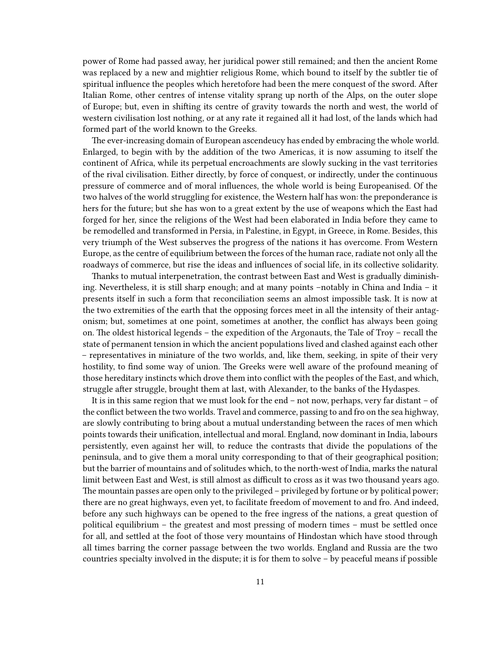power of Rome had passed away, her juridical power still remained; and then the ancient Rome was replaced by a new and mightier religious Rome, which bound to itself by the subtler tie of spiritual influence the peoples which heretofore had been the mere conquest of the sword. After Italian Rome, other centres of intense vitality sprang up north of the Alps, on the outer slope of Europe; but, even in shifting its centre of gravity towards the north and west, the world of western civilisation lost nothing, or at any rate it regained all it had lost, of the lands which had formed part of the world known to the Greeks.

The ever-increasing domain of European ascendeucy has ended by embracing the whole world. Enlarged, to begin with by the addition of the two Americas, it is now assuming to itself the continent of Africa, while its perpetual encroachments are slowly sucking in the vast territories of the rival civilisation. Either directly, by force of conquest, or indirectly, under the continuous pressure of commerce and of moral influences, the whole world is being Europeanised. Of the two halves of the world struggling for existence, the Western half has won: the preponderance is hers for the future; but she has won to a great extent by the use of weapons which the East had forged for her, since the religions of the West had been elaborated in India before they came to be remodelled and transformed in Persia, in Palestine, in Egypt, in Greece, in Rome. Besides, this very triumph of the West subserves the progress of the nations it has overcome. From Western Europe, as the centre of equilibrium between the forces of the human race, radiate not only all the roadways of commerce, but rise the ideas and influences of social life, in its collective solidarity.

Thanks to mutual interpenetration, the contrast between East and West is gradually diminishing. Nevertheless, it is still sharp enough; and at many points –notably in China and India – it presents itself in such a form that reconciliation seems an almost impossible task. It is now at the two extremities of the earth that the opposing forces meet in all the intensity of their antagonism; but, sometimes at one point, sometimes at another, the conflict has always been going on. The oldest historical legends – the expedition of the Argonauts, the Tale of Troy – recall the state of permanent tension in which the ancient populations lived and clashed against each other – representatives in miniature of the two worlds, and, like them, seeking, in spite of their very hostility, to find some way of union. The Greeks were well aware of the profound meaning of those hereditary instincts which drove them into conflict with the peoples of the East, and which, struggle after struggle, brought them at last, with Alexander, to the banks of the Hydaspes.

It is in this same region that we must look for the end – not now, perhaps, very far distant – of the conflict between the two worlds. Travel and commerce, passing to and fro on the sea highway, are slowly contributing to bring about a mutual understanding between the races of men which points towards their unification, intellectual and moral. England, now dominant in India, labours persistently, even against her will, to reduce the contrasts that divide the populations of the peninsula, and to give them a moral unity corresponding to that of their geographical position; but the barrier of mountains and of solitudes which, to the north-west of India, marks the natural limit between East and West, is still almost as difficult to cross as it was two thousand years ago. The mountain passes are open only to the privileged – privileged by fortune or by political power; there are no great highways, even yet, to facilitate freedom of movement to and fro. And indeed, before any such highways can be opened to the free ingress of the nations, a great question of political equilibrium – the greatest and most pressing of modern times – must be settled once for all, and settled at the foot of those very mountains of Hindostan which have stood through all times barring the corner passage between the two worlds. England and Russia are the two countries specialty involved in the dispute; it is for them to solve – by peaceful means if possible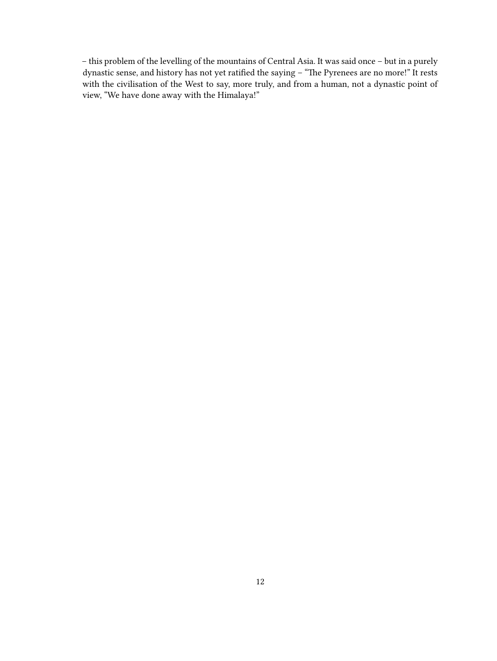– this problem of the levelling of the mountains of Central Asia. It was said once – but in a purely dynastic sense, and history has not yet ratified the saying – "The Pyrenees are no more!" It rests with the civilisation of the West to say, more truly, and from a human, not a dynastic point of view, "We have done away with the Himalaya!"